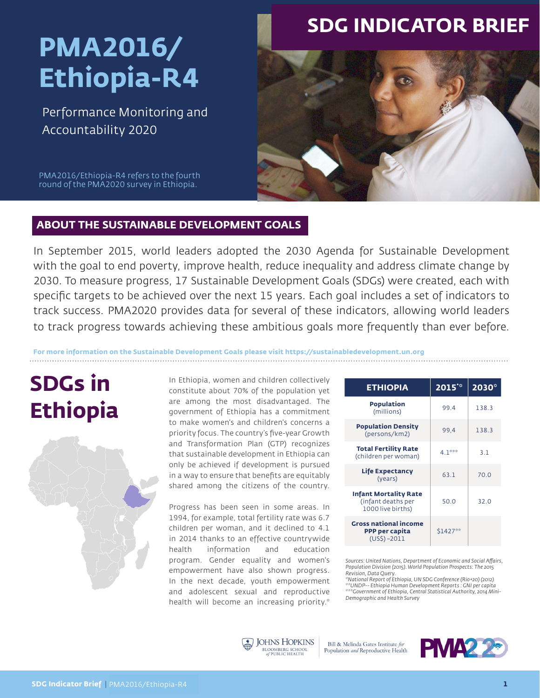# **PMA2016/ Ethiopia-R4**

Performance Monitoring and Accountability 2020

### **SDG INDICATOR BRIEF**



PMA2016/Ethiopia-R4 refers to the fourth round of the PMA2020 survey in Ethiopia.

### **ABOUT THE SUSTAINABLE DEVELOPMENT GOALS**

In September 2015, world leaders adopted the 2030 Agenda for Sustainable Development with the goal to end poverty, improve health, reduce inequality and address climate change by 2030. To measure progress, 17 Sustainable Development Goals (SDGs) were created, each with specific targets to be achieved over the next 15 years. Each goal includes a set of indicators to track success. PMA2020 provides data for several of these indicators, allowing world leaders to track progress towards achieving these ambitious goals more frequently than ever before.

**For more information on the Sustainable Development Goals please visit https://sustainabledevelopment.un.org**

## **SDGs in Ethiopia**



In Ethiopia, women and children collectively constitute about 70% of the population yet are among the most disadvantaged. The government of Ethiopia has a commitment to make women's and children's concerns a priority focus. The country's five-year Growth and Transformation Plan (GTP) recognizes that sustainable development in Ethiopia can only be achieved if development is pursued in a way to ensure that benefits are equitably shared among the citizens of the country.

Progress has been seen in some areas. In 1994, for example, total fertility rate was 6.7 children per woman, and it declined to 4.1 in 2014 thanks to an effective countrywide health information and education program. Gender equality and women's empowerment have also shown progress. In the next decade, youth empowerment and adolescent sexual and reproductive health will become an increasing priority.\*

| <b>ETHIOPIA</b>                                                         | 2015**   | $2030^\circ$ |
|-------------------------------------------------------------------------|----------|--------------|
| Population<br>(millions)                                                | 99.4     | 138.3        |
| <b>Population Density</b><br>(persons/km2)                              | 99.4     | 138.3        |
| <b>Total Fertility Rate</b><br>(children per woman)                     | $4.1***$ | 3.1          |
| <b>Life Expectancy</b><br>(years)                                       | 63.1     | 70.0         |
| <b>Infant Mortality Rate</b><br>(infant deaths per<br>1000 live births) | 50.0     | 32.0         |
| <b>Gross national income</b><br>PPP per capita<br>$(US\$) - 2011$       | S1427**  |              |

*Sources: United Nations, Department of Economic and Social Affairs, Population Division (2015). World Population Prospects: The 2015 Revision, Data Query.* 

*\*National Report of Ethiopia, UN SDG Conference (Rio+20) (2012) \*\*UNDP-- Ethiopia Human Development Reports : GNI per capita \*\*\*Government of Ethiopia, Central Statistical Authority, 2014 Mini-Demographic and Health Survey*



Bill & Melinda Gates Institute for Population and Reproductive Health

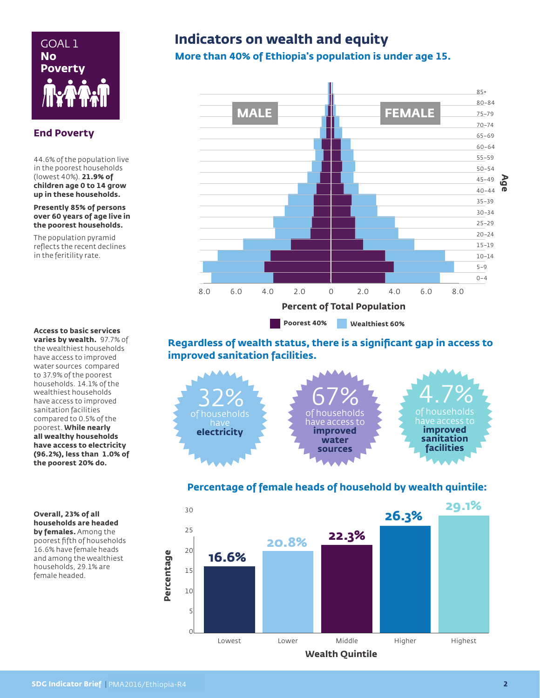

#### **End Poverty**

44.6% of the population live in the poorest households (lowest 40%). **21.9% of children age 0 to 14 grow up in these households.** 

**Presently 85% of persons over 60 years of age live in the poorest households.** 

The population pyramid reflects the recent declines in the feritility rate.

#### **Access to basic services**

**varies by wealth.** 97.7% of the wealthiest households have access to improved water sources compared to 37.9% of the poorest households. 14.1% of the wealthiest households have access to improved sanitation facilities compared to 0.5% of the poorest. **While nearly all wealthy households have access to electricity (96.2%), less than 1.0% of the poorest 20% do.**

#### **Overall, 23% of all households are headed by females.** Among the poorest fifth of households 16.6% have female heads and among the wealthiest households, 29.1% are female headed.

### GOAL 1 **Indicators on wealth and equity**

**More than 40% of Ethiopia's population is under age 15.** 



**Regardless of wealth status, there is a significant gap in access to improved sanitation facilities.** 



### **Percentage of female heads of household by wealth quintile:**

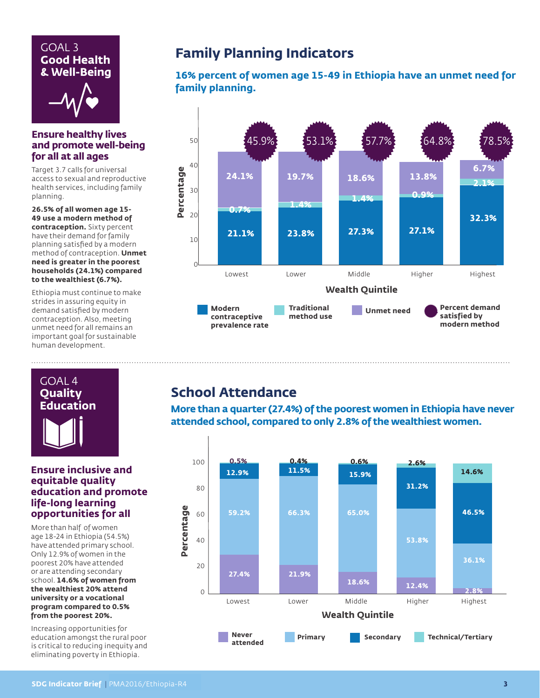### GOAL 3 **Good Health & Well-Being**



#### **Ensure healthy lives and promote well-being for all at all ages**

Target 3.7 calls for universal access to sexual and reproductive health services, including family planning.

**26.5% of all women age 15- 49 use a modern method of contraception.** Sixty percent have their demand for family planning satisfied by a modern method of contraception. **Unmet need is greater in the poorest households (24.1%) compared to the wealthiest (6.7%).**

Ethiopia must continue to make strides in assuring equity in demand satisfied by modern contraception. Also, meeting unmet need for all remains an important goal for sustainable human development.

### **Family Planning Indicators**

**16% percent of women age 15-49 in Ethiopia have an unmet need for family planning.**



### **School Attendance**

**More than a quarter (27.4%) of the poorest women in Ethiopia have never attended school, compared to only 2.8% of the wealthiest women.**



**Quality Education**

GOAL 4

#### **Ensure inclusive and equitable quality education and promote life-long learning opportunities for all**

More than half of women age 18-24 in Ethiopia (54.5%) have attended primary school. Only 12.9% of women in the poorest 20% have attended or are attending secondary school. **14.6% of women from the wealthiest 20% attend university or a vocational program compared to 0.5% from the poorest 20%.**

Increasing opportunities for education amongst the rural poor is critical to reducing inequity and eliminating poverty in Ethiopia.